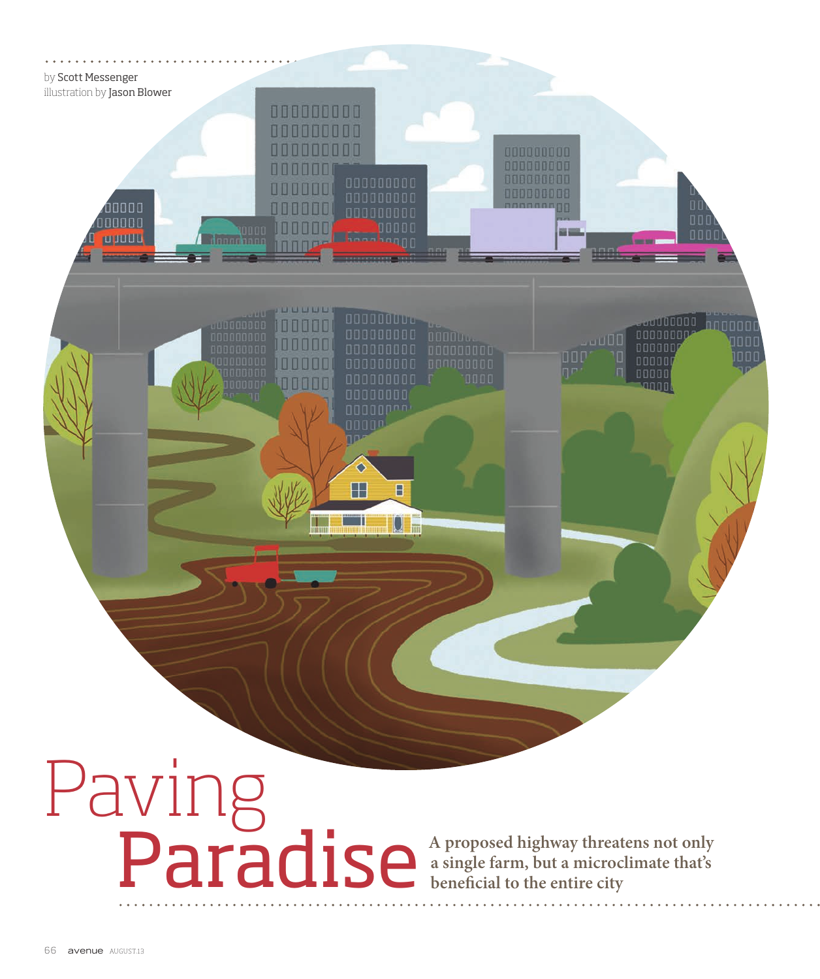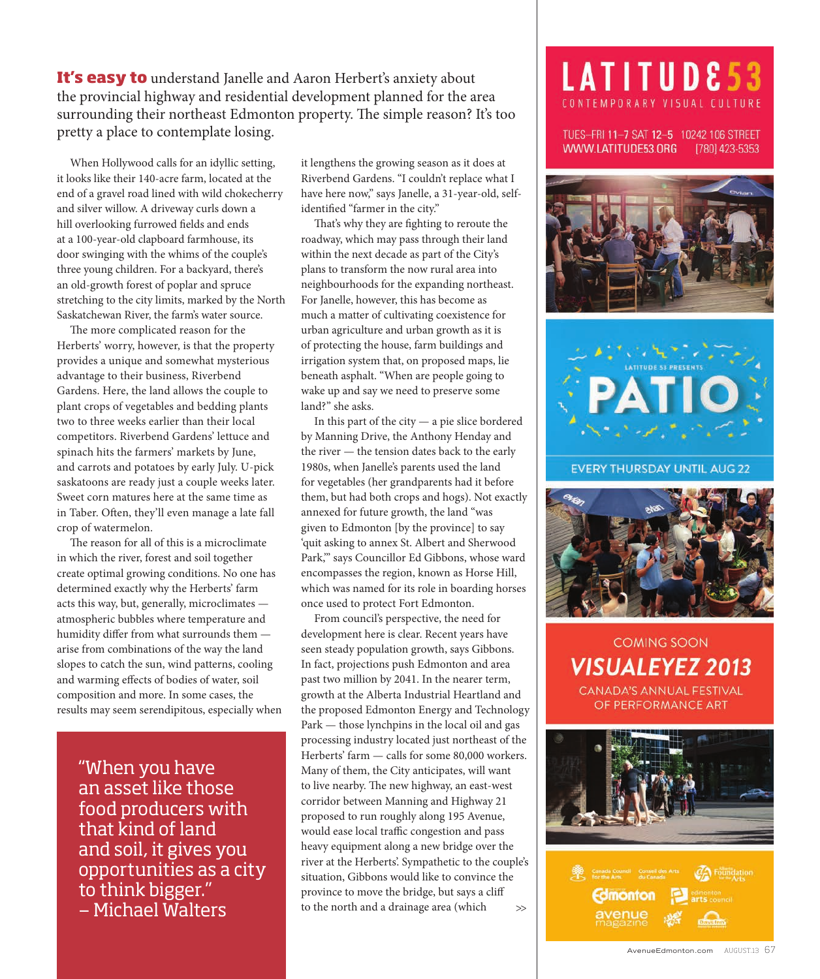**It's easy to** understand Janelle and Aaron Herbert's anxiety about the provincial highway and residential development planned for the area surrounding their northeast Edmonton property. The simple reason? It's too pretty a place to contemplate losing.

When Hollywood calls for an idyllic setting, it looks like their 140-acre farm, located at the end of a gravel road lined with wild chokecherry and silver willow. A driveway curls down a hill overlooking furrowed fields and ends at a 100-year-old clapboard farmhouse, its door swinging with the whims of the couple's three young children. For a backyard, there's an old-growth forest of poplar and spruce stretching to the city limits, marked by the North Saskatchewan River, the farm's water source.

The more complicated reason for the Herberts' worry, however, is that the property provides a unique and somewhat mysterious advantage to their business, Riverbend Gardens. Here, the land allows the couple to plant crops of vegetables and bedding plants two to three weeks earlier than their local competitors. Riverbend Gardens' lettuce and spinach hits the farmers' markets by June, and carrots and potatoes by early July. U-pick saskatoons are ready just a couple weeks later. Sweet corn matures here at the same time as in Taber. Often, they'll even manage a late fall crop of watermelon.

The reason for all of this is a microclimate in which the river, forest and soil together create optimal growing conditions. No one has determined exactly why the Herberts' farm acts this way, but, generally, microclimates atmospheric bubbles where temperature and humidity differ from what surrounds them arise from combinations of the way the land slopes to catch the sun, wind patterns, cooling and warming effects of bodies of water, soil composition and more. In some cases, the results may seem serendipitous, especially when

"When you have an asset like those food producers with that kind of land and soil, it gives you opportunities as a city to think bigger." — Michael Walters

it lengthens the growing season as it does at Riverbend Gardens. "I couldn't replace what I have here now," says Janelle, a 31-year-old, selfidentified "farmer in the city."

That's why they are fighting to reroute the roadway, which may pass through their land within the next decade as part of the City's plans to transform the now rural area into neighbourhoods for the expanding northeast. For Janelle, however, this has become as much a matter of cultivating coexistence for urban agriculture and urban growth as it is of protecting the house, farm buildings and irrigation system that, on proposed maps, lie beneath asphalt. "When are people going to wake up and say we need to preserve some land?" she asks.

In this part of the city — a pie slice bordered by Manning Drive, the Anthony Henday and the river — the tension dates back to the early 1980s, when Janelle's parents used the land for vegetables (her grandparents had it before them, but had both crops and hogs). Not exactly annexed for future growth, the land "was given to Edmonton [by the province] to say 'quit asking to annex St. Albert and Sherwood Park,'" says Councillor Ed Gibbons, whose ward encompasses the region, known as Horse Hill, which was named for its role in boarding horses once used to protect Fort Edmonton.

From council's perspective, the need for development here is clear. Recent years have seen steady population growth, says Gibbons. In fact, projections push Edmonton and area past two million by 2041. In the nearer term, growth at the Alberta Industrial Heartland and the proposed Edmonton Energy and Technology Park — those lynchpins in the local oil and gas processing industry located just northeast of the Herberts' farm — calls for some 80,000 workers. Many of them, the City anticipates, will want to live nearby. The new highway, an east-west corridor between Manning and Highway 21 proposed to run roughly along 195 Avenue, would ease local traffic congestion and pass heavy equipment along a new bridge over the river at the Herberts'. Sympathetic to the couple's situation, Gibbons would like to convince the province to move the bridge, but says a cliff to the north and a drainage area (which >>

## LATITUDE53 CONTEMPORARY VISUAL CULTURE

TUES-FRI 11-7 SAT 12-5 10242 106 STREET WWW.LATITUDE53.ORG [780] 423-5353





**EVERY THURSDAY UNTIL AUG 22** 



**COMING SOON VISUALEYEZ 2013** CANADA'S ANNUAL FESTIVAL OF PERFORMANCE ART

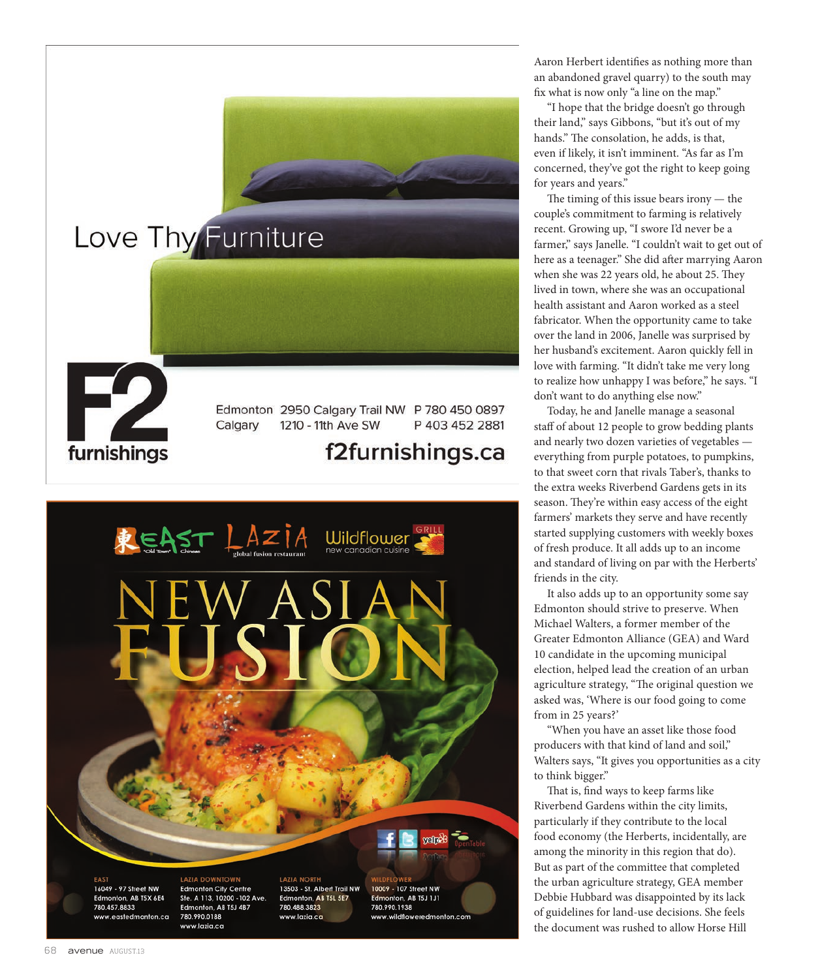



Aaron Herbert identifies as nothing more than an abandoned gravel quarry) to the south may fix what is now only "a line on the map."

"I hope that the bridge doesn't go through their land," says Gibbons, "but it's out of my hands." The consolation, he adds, is that, even if likely, it isn't imminent. "As far as I'm concerned, they've got the right to keep going for years and years."

The timing of this issue bears irony — the couple's commitment to farming is relatively recent. Growing up, "I swore I'd never be a farmer," says Janelle. "I couldn't wait to get out of here as a teenager." She did after marrying Aaron when she was 22 years old, he about 25. They lived in town, where she was an occupational health assistant and Aaron worked as a steel fabricator. When the opportunity came to take over the land in 2006, Janelle was surprised by her husband's excitement. Aaron quickly fell in love with farming. "It didn't take me very long to realize how unhappy I was before," he says. "I don't want to do anything else now."

Today, he and Janelle manage a seasonal staff of about 12 people to grow bedding plants and nearly two dozen varieties of vegetables everything from purple potatoes, to pumpkins, to that sweet corn that rivals Taber's, thanks to the extra weeks Riverbend Gardens gets in its season. They're within easy access of the eight farmers' markets they serve and have recently started supplying customers with weekly boxes of fresh produce. It all adds up to an income and standard of living on par with the Herberts' friends in the city.

It also adds up to an opportunity some say Edmonton should strive to preserve. When Michael Walters, a former member of the Greater Edmonton Alliance (GEA) and Ward 10 candidate in the upcoming municipal election, helped lead the creation of an urban agriculture strategy, "The original question we asked was, 'Where is our food going to come from in 25 years?'

"When you have an asset like those food producers with that kind of land and soil," Walters says, "It gives you opportunities as a city to think bigger."

That is, find ways to keep farms like Riverbend Gardens within the city limits, particularly if they contribute to the local food economy (the Herberts, incidentally, are among the minority in this region that do). But as part of the committee that completed the urban agriculture strategy, GEA member Debbie Hubbard was disappointed by its lack of guidelines for land-use decisions. She feels the document was rushed to allow Horse Hill